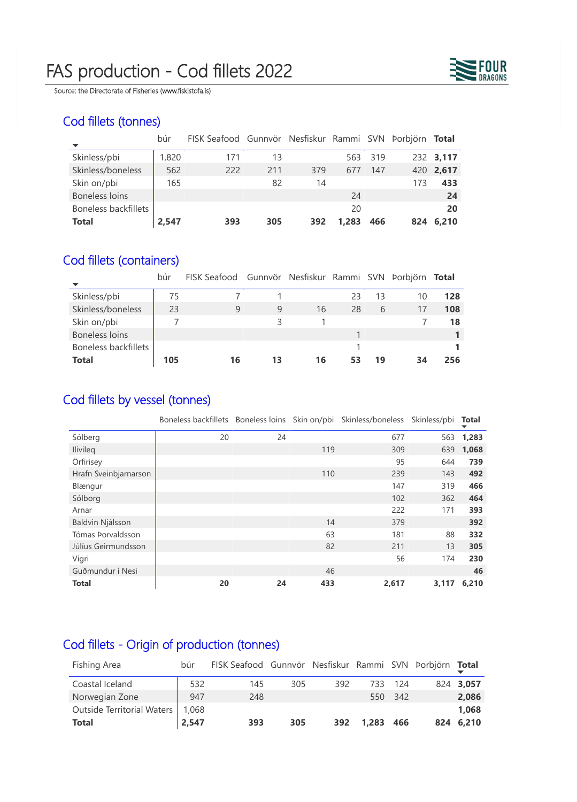# FAS production - Cod fillets 2022



Source: the Directorate of Fisheries (www.fiskistofa.is)

## Cod fillets (tonnes)

|                       | búr   | FISK Seafood Gunnvör Nesfiskur Rammi SVN Þorbjörn Total |     |     |       |     |     |           |
|-----------------------|-------|---------------------------------------------------------|-----|-----|-------|-----|-----|-----------|
| Skinless/pbi          | 1,820 | 171                                                     | 13  |     | 563   | 319 |     | 232 3,117 |
| Skinless/boneless     | 562   | 222                                                     | 211 | 379 | 677   | 147 |     | 420 2,617 |
| Skin on/pbi           | 165   |                                                         | 82  | 14  |       |     | 173 | 433       |
| <b>Boneless loins</b> |       |                                                         |     |     | 24    |     |     | 24        |
| Boneless backfillets  |       |                                                         |     |     | 20    |     |     | 20        |
| <b>Total</b>          | 2,547 | 393                                                     | 305 | 392 | 1.283 | 466 | 824 | 6.210     |

### Cod fillets (containers)

|                      | búr | FISK Seafood Gunnvör Nesfiskur Rammi SVN Þorbjörn Total |    |    |    |    |    |     |
|----------------------|-----|---------------------------------------------------------|----|----|----|----|----|-----|
| Skinless/pbi         | 75  |                                                         |    |    | 23 | 13 | 10 | 128 |
| Skinless/boneless    | 23  | 9                                                       | 9  | 16 | 28 | 6  | 17 | 108 |
| Skin on/pbi          |     |                                                         | 3  |    |    |    |    | 18  |
| Boneless loins       |     |                                                         |    |    |    |    |    |     |
| Boneless backfillets |     |                                                         |    |    |    |    |    |     |
| <b>Total</b>         | 105 | 16                                                      | 13 | 16 | 53 | 19 | 34 | 256 |

## Cod fillets by vessel (tonnes)

|                       | Boneless backfillets Boneless loins Skin on/pbi Skinless/boneless Skinless/pbi |    |     |       |       | <b>Total</b> |
|-----------------------|--------------------------------------------------------------------------------|----|-----|-------|-------|--------------|
| Sólberg               | 20                                                                             | 24 |     | 677   | 563   | 1,283        |
| <b>Ilivileg</b>       |                                                                                |    | 119 | 309   | 639   | 1,068        |
| Örfirisey             |                                                                                |    |     | 95    | 644   | 739          |
| Hrafn Sveinbjarnarson |                                                                                |    | 110 | 239   | 143   | 492          |
| Blængur               |                                                                                |    |     | 147   | 319   | 466          |
| Sólborg               |                                                                                |    |     | 102   | 362   | 464          |
| Arnar                 |                                                                                |    |     | 222   | 171   | 393          |
| Baldvin Njálsson      |                                                                                |    | 14  | 379   |       | 392          |
| Tómas Þorvaldsson     |                                                                                |    | 63  | 181   | 88    | 332          |
| Júlíus Geirmundsson   |                                                                                |    | 82  | 211   | 13    | 305          |
| Vigri                 |                                                                                |    |     | 56    | 174   | 230          |
| Guðmundur í Nesi      |                                                                                |    | 46  |       |       | 46           |
| <b>Total</b>          | 20                                                                             | 24 | 433 | 2,617 | 3,117 | 6,210        |

## Cod fillets - Origin of production (tonnes)

| Fishing Area               | búr   | FISK Seafood Gunnvör Nesfiskur Rammi SVN Þorbjörn Total |     |     |           |         |           |
|----------------------------|-------|---------------------------------------------------------|-----|-----|-----------|---------|-----------|
| Coastal Iceland            | 532   | 145                                                     | 305 | 392 | 733       | -124    | 824 3,057 |
| Norwegian Zone             | 947   | 248                                                     |     |     |           | 550 342 | 2,086     |
| Outside Territorial Waters | 1,068 |                                                         |     |     |           |         | 1,068     |
| <b>Total</b>               | 2,547 | 393                                                     | 305 | 392 | 1,283 466 |         | 824 6,210 |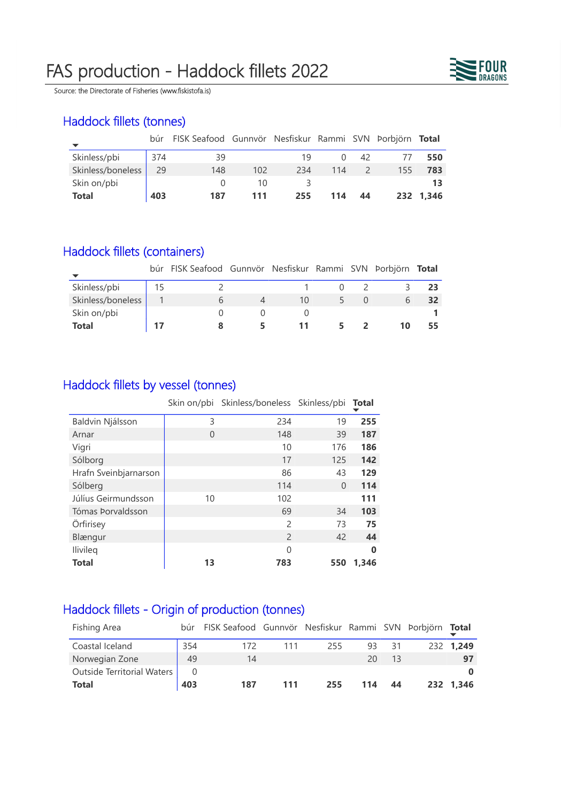# FAS production - Haddock fillets 2022



Source: the Directorate of Fisheries (www.fiskistofa.is)

## Haddock fillets (tonnes)

|                   |     | búr FISK Seafood Gunnvör Nesfiskur Rammi SVN Þorbjörn Total |     |     |     |    |     |           |
|-------------------|-----|-------------------------------------------------------------|-----|-----|-----|----|-----|-----------|
| Skinless/pbi      | 374 | 39                                                          |     | 19  |     | 42 |     | 550       |
| Skinless/boneless | 29  | 148                                                         | 102 | 234 | 114 |    | 155 | 783       |
| Skin on/pbi       |     |                                                             | 10  |     |     |    |     | 13        |
| <b>Total</b>      | 403 | 187                                                         | 111 | 255 | 114 | 44 |     | 232 1.346 |

#### Haddock fillets (containers)

|                   |    | búr FISK Seafood Gunnvör Nesfiskur Rammi SVN Þorbjörn Total |    |  |    |    |
|-------------------|----|-------------------------------------------------------------|----|--|----|----|
| Skinless/pbi      | 15 |                                                             |    |  |    | 23 |
| Skinless/boneless |    |                                                             | 10 |  |    |    |
| Skin on/pbi       |    |                                                             |    |  |    |    |
| <b>Total</b>      | 17 |                                                             |    |  | 10 |    |

#### Haddock fillets by vessel (tonnes)

|                       |    | Skin on/pbi Skinless/boneless Skinless/pbi Total |          |          |
|-----------------------|----|--------------------------------------------------|----------|----------|
| Baldvin Njálsson      | 3  | 234                                              | 19       | 255      |
| Arnar                 | 0  | 148                                              | 39       | 187      |
| Vigri                 |    | 10                                               | 176      | 186      |
| Sólborg               |    | 17                                               | 125      | 142      |
| Hrafn Sveinbjarnarson |    | 86                                               | 43       | 129      |
| Sólberg               |    | 114                                              | $\Omega$ | 114      |
| Júlíus Geirmundsson   | 10 | 102                                              |          | 111      |
| Tómas Þorvaldsson     |    | 69                                               | 34       | 103      |
| Örfirisey             |    | $\mathcal{P}$                                    | 73       | 75       |
| Blængur               |    | $\overline{\phantom{0}}$                         | 42       | 44       |
| <b>Ilivileg</b>       |    | U                                                |          | $\bf{0}$ |
| <b>Total</b>          | 13 | 783                                              | 550      | 1,346    |

### Haddock fillets - Origin of production (tonnes)

| Fishing Area               |     | búr FISK Seafood Gunnvör Nesfiskur Rammi SVN Þorbjörn Total |     |     |     |     |           |
|----------------------------|-----|-------------------------------------------------------------|-----|-----|-----|-----|-----------|
| Coastal Iceland            | 354 | 172                                                         | 111 | 255 | 93  | 31  | 232 1,249 |
| Norwegian Zone             | 49  | 14                                                          |     |     | 20  | -13 | 97        |
| Outside Territorial Waters |     |                                                             |     |     |     |     |           |
| <b>Total</b>               | 403 | 187                                                         | 111 | 255 | 114 | 44  | 232 1.346 |